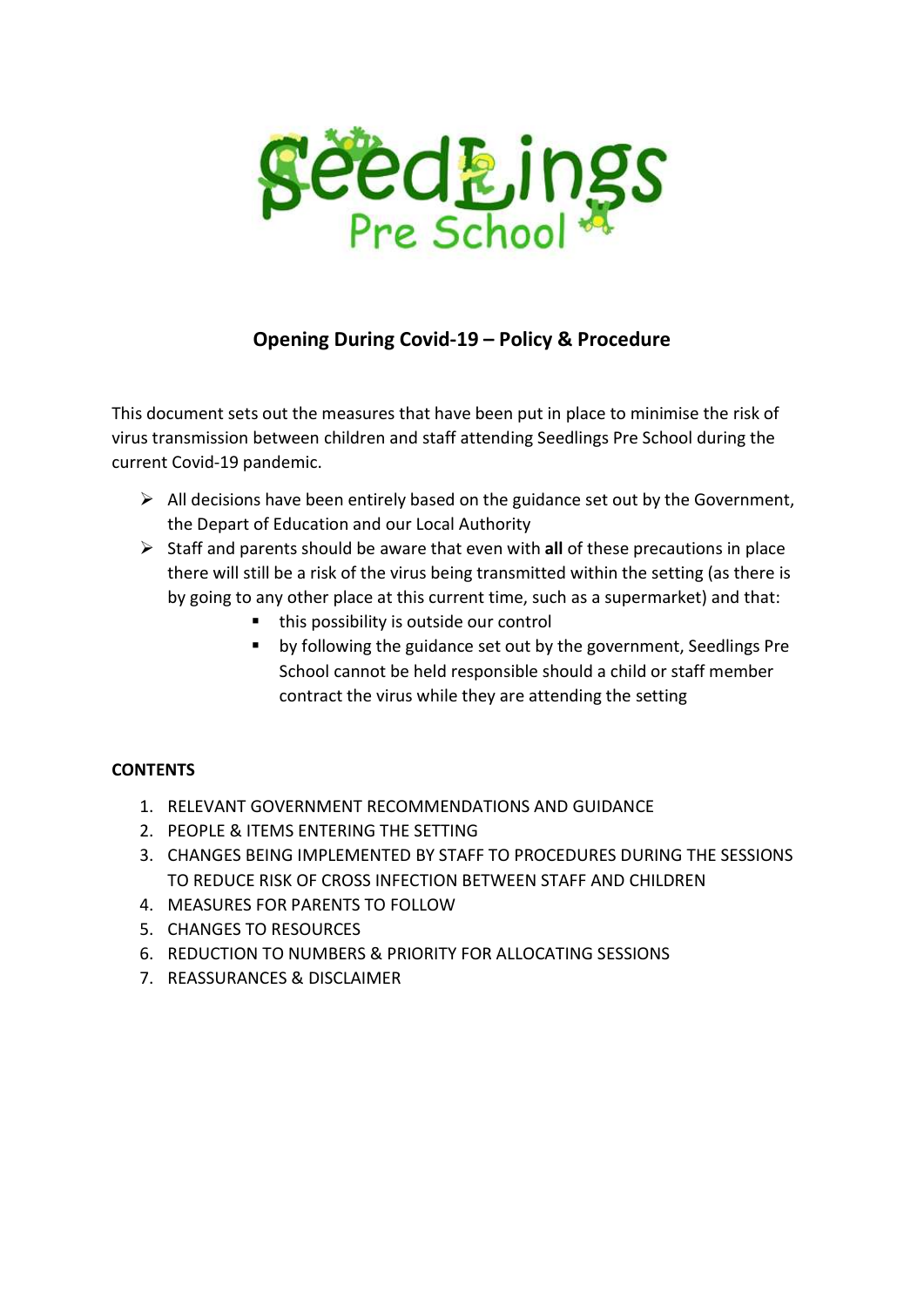

# Opening During Covid-19 – Policy & Procedure

This document sets out the measures that have been put in place to minimise the risk of virus transmission between children and staff attending Seedlings Pre School during the current Covid-19 pandemic.

- $\triangleright$  All decisions have been entirely based on the guidance set out by the Government, the Depart of Education and our Local Authority
- $\triangleright$  Staff and parents should be aware that even with all of these precautions in place there will still be a risk of the virus being transmitted within the setting (as there is by going to any other place at this current time, such as a supermarket) and that:
	- this possibility is outside our control
	- by following the guidance set out by the government, Seedlings Pre School cannot be held responsible should a child or staff member contract the virus while they are attending the setting

## **CONTENTS**

- 1. RELEVANT GOVERNMENT RECOMMENDATIONS AND GUIDANCE
- 2. PEOPLE & ITEMS ENTERING THE SETTING
- 3. CHANGES BEING IMPLEMENTED BY STAFF TO PROCEDURES DURING THE SESSIONS TO REDUCE RISK OF CROSS INFECTION BETWEEN STAFF AND CHILDREN
- 4. MEASURES FOR PARENTS TO FOLLOW
- 5. CHANGES TO RESOURCES
- 6. REDUCTION TO NUMBERS & PRIORITY FOR ALLOCATING SESSIONS
- 7. REASSURANCES & DISCLAIMER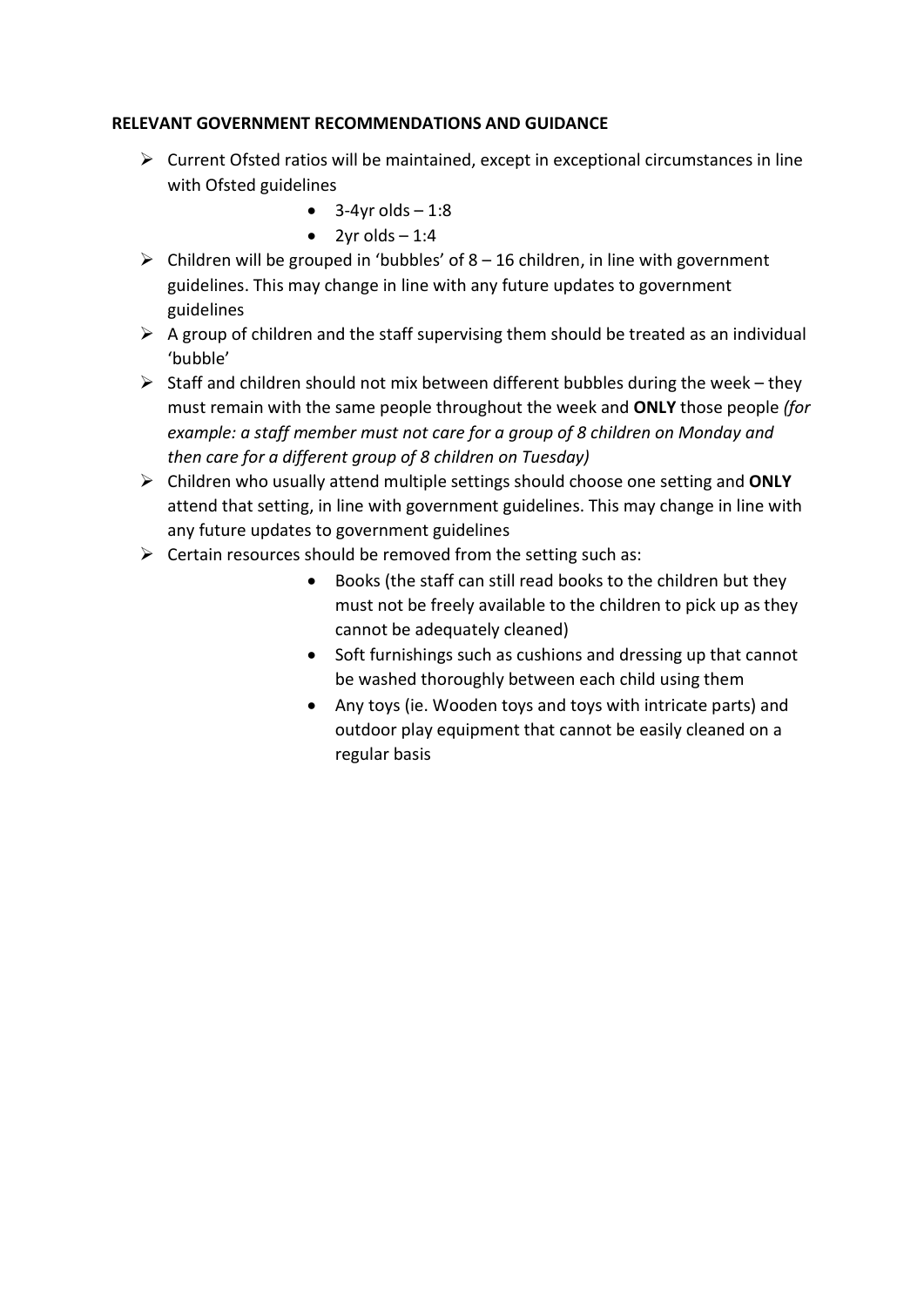### RELEVANT GOVERNMENT RECOMMENDATIONS AND GUIDANCE

- $\triangleright$  Current Ofsted ratios will be maintained, except in exceptional circumstances in line with Ofsted guidelines
	- $\bullet$  3-4yr olds  $-1:8$
	- $\bullet$  2yr olds  $-1:4$
- $\triangleright$  Children will be grouped in 'bubbles' of 8 16 children, in line with government guidelines. This may change in line with any future updates to government guidelines
- $\triangleright$  A group of children and the staff supervising them should be treated as an individual 'bubble'
- $\triangleright$  Staff and children should not mix between different bubbles during the week they must remain with the same people throughout the week and ONLY those people (for example: a staff member must not care for a group of 8 children on Monday and then care for a different group of 8 children on Tuesday)
- $\triangleright$  Children who usually attend multiple settings should choose one setting and ONLY attend that setting, in line with government guidelines. This may change in line with any future updates to government guidelines
- $\triangleright$  Certain resources should be removed from the setting such as:
	- Books (the staff can still read books to the children but they must not be freely available to the children to pick up as they cannot be adequately cleaned)
	- Soft furnishings such as cushions and dressing up that cannot be washed thoroughly between each child using them
	- Any toys (ie. Wooden toys and toys with intricate parts) and outdoor play equipment that cannot be easily cleaned on a regular basis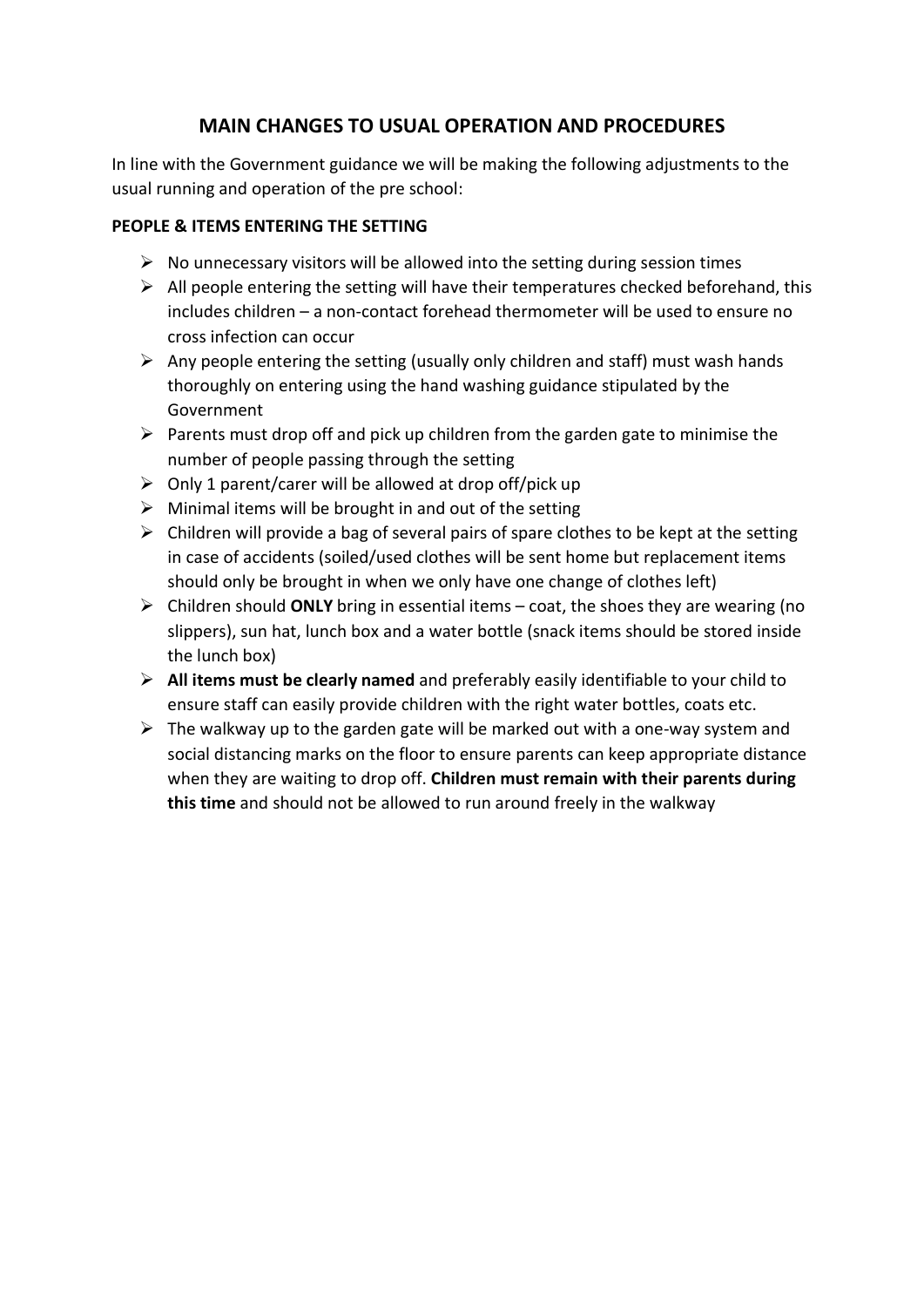## MAIN CHANGES TO USUAL OPERATION AND PROCEDURES

In line with the Government guidance we will be making the following adjustments to the usual running and operation of the pre school:

### PEOPLE & ITEMS ENTERING THE SETTING

- $\triangleright$  No unnecessary visitors will be allowed into the setting during session times
- $\triangleright$  All people entering the setting will have their temperatures checked beforehand, this includes children – a non-contact forehead thermometer will be used to ensure no cross infection can occur
- $\triangleright$  Any people entering the setting (usually only children and staff) must wash hands thoroughly on entering using the hand washing guidance stipulated by the Government
- $\triangleright$  Parents must drop off and pick up children from the garden gate to minimise the number of people passing through the setting
- $\triangleright$  Only 1 parent/carer will be allowed at drop off/pick up
- $\triangleright$  Minimal items will be brought in and out of the setting
- $\triangleright$  Children will provide a bag of several pairs of spare clothes to be kept at the setting in case of accidents (soiled/used clothes will be sent home but replacement items should only be brought in when we only have one change of clothes left)
- $\triangleright$  Children should ONLY bring in essential items coat, the shoes they are wearing (no slippers), sun hat, lunch box and a water bottle (snack items should be stored inside the lunch box)
- $\triangleright$  All items must be clearly named and preferably easily identifiable to your child to ensure staff can easily provide children with the right water bottles, coats etc.
- $\triangleright$  The walkway up to the garden gate will be marked out with a one-way system and social distancing marks on the floor to ensure parents can keep appropriate distance when they are waiting to drop off. Children must remain with their parents during this time and should not be allowed to run around freely in the walkway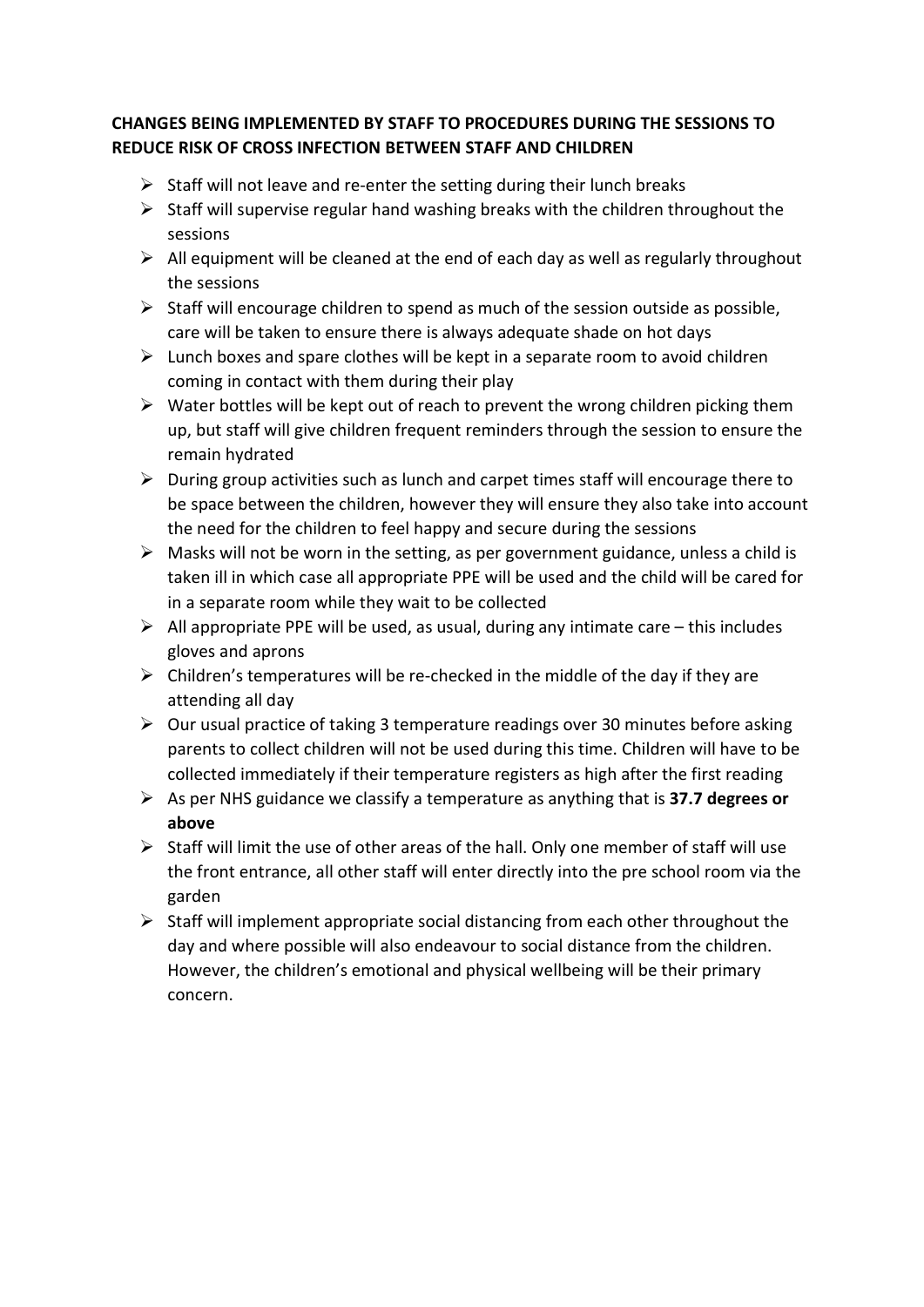## CHANGES BEING IMPLEMENTED BY STAFF TO PROCEDURES DURING THE SESSIONS TO REDUCE RISK OF CROSS INFECTION BETWEEN STAFF AND CHILDREN

- $\triangleright$  Staff will not leave and re-enter the setting during their lunch breaks
- $\triangleright$  Staff will supervise regular hand washing breaks with the children throughout the sessions
- $\triangleright$  All equipment will be cleaned at the end of each day as well as regularly throughout the sessions
- $\triangleright$  Staff will encourage children to spend as much of the session outside as possible, care will be taken to ensure there is always adequate shade on hot days
- $\triangleright$  Lunch boxes and spare clothes will be kept in a separate room to avoid children coming in contact with them during their play
- $\triangleright$  Water bottles will be kept out of reach to prevent the wrong children picking them up, but staff will give children frequent reminders through the session to ensure the remain hydrated
- $\triangleright$  During group activities such as lunch and carpet times staff will encourage there to be space between the children, however they will ensure they also take into account the need for the children to feel happy and secure during the sessions
- $\triangleright$  Masks will not be worn in the setting, as per government guidance, unless a child is taken ill in which case all appropriate PPE will be used and the child will be cared for in a separate room while they wait to be collected
- $\triangleright$  All appropriate PPE will be used, as usual, during any intimate care this includes gloves and aprons
- $\triangleright$  Children's temperatures will be re-checked in the middle of the day if they are attending all day
- $\triangleright$  Our usual practice of taking 3 temperature readings over 30 minutes before asking parents to collect children will not be used during this time. Children will have to be collected immediately if their temperature registers as high after the first reading
- $\triangleright$  As per NHS guidance we classify a temperature as anything that is 37.7 degrees or above
- $\triangleright$  Staff will limit the use of other areas of the hall. Only one member of staff will use the front entrance, all other staff will enter directly into the pre school room via the garden
- $\triangleright$  Staff will implement appropriate social distancing from each other throughout the day and where possible will also endeavour to social distance from the children. However, the children's emotional and physical wellbeing will be their primary concern.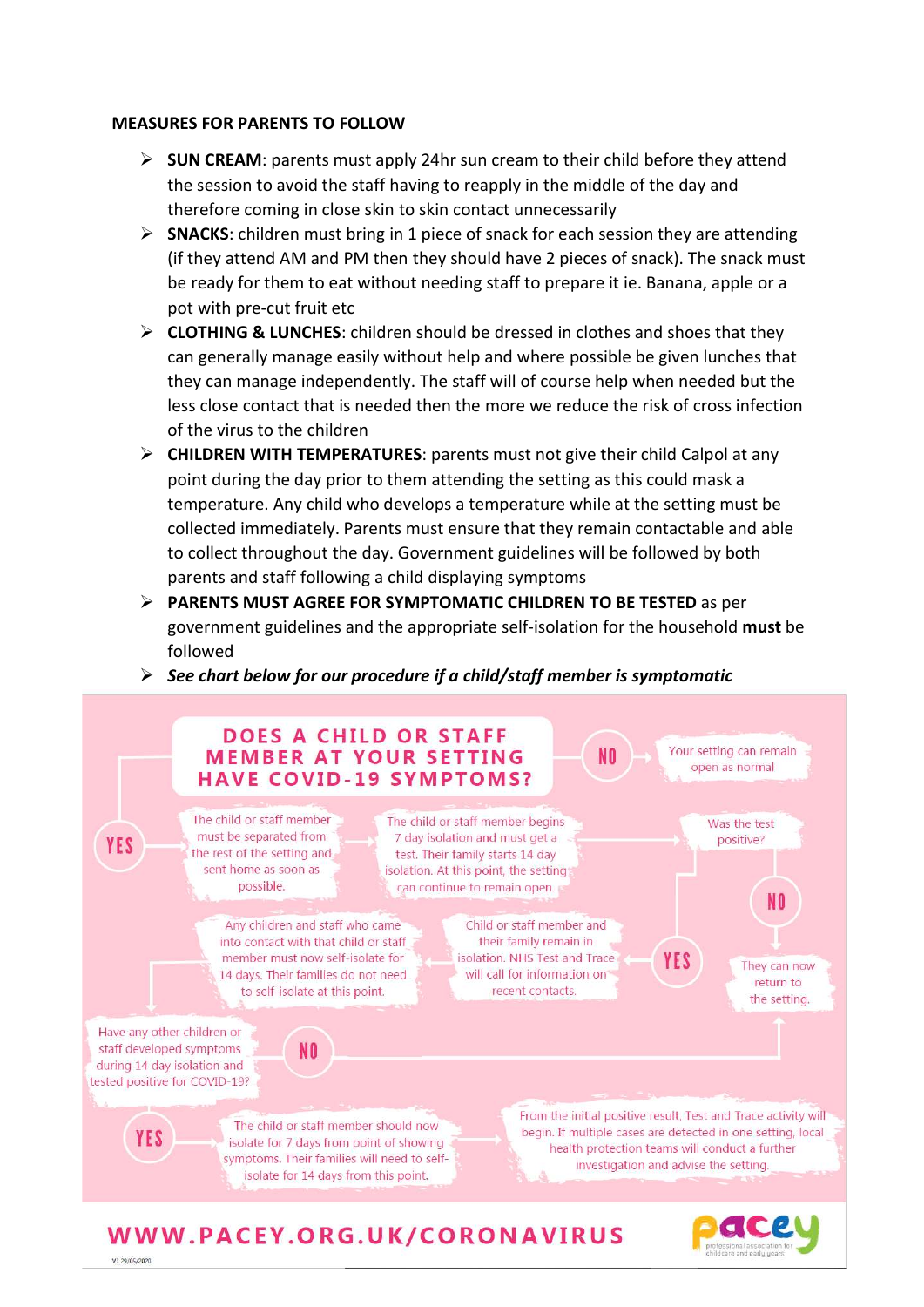#### MEASURES FOR PARENTS TO FOLLOW

- $\triangleright$  SUN CREAM: parents must apply 24hr sun cream to their child before they attend the session to avoid the staff having to reapply in the middle of the day and therefore coming in close skin to skin contact unnecessarily
- $\triangleright$  SNACKS: children must bring in 1 piece of snack for each session they are attending (if they attend AM and PM then they should have 2 pieces of snack). The snack must be ready for them to eat without needing staff to prepare it ie. Banana, apple or a pot with pre-cut fruit etc
- $\triangleright$  **CLOTHING & LUNCHES:** children should be dressed in clothes and shoes that they can generally manage easily without help and where possible be given lunches that they can manage independently. The staff will of course help when needed but the less close contact that is needed then the more we reduce the risk of cross infection of the virus to the children
- $\triangleright$  CHILDREN WITH TEMPERATURES: parents must not give their child Calpol at any point during the day prior to them attending the setting as this could mask a temperature. Any child who develops a temperature while at the setting must be collected immediately. Parents must ensure that they remain contactable and able to collect throughout the day. Government guidelines will be followed by both parents and staff following a child displaying symptoms
- PARENTS MUST AGREE FOR SYMPTOMATIC CHILDREN TO BE TESTED as per government guidelines and the appropriate self-isolation for the household must be followed
- $\triangleright$  See chart below for our procedure if a child/staff member is symptomatic



# WWW.PACEY.ORG.UK/CORONAVIRUS

V1 29/05/2020

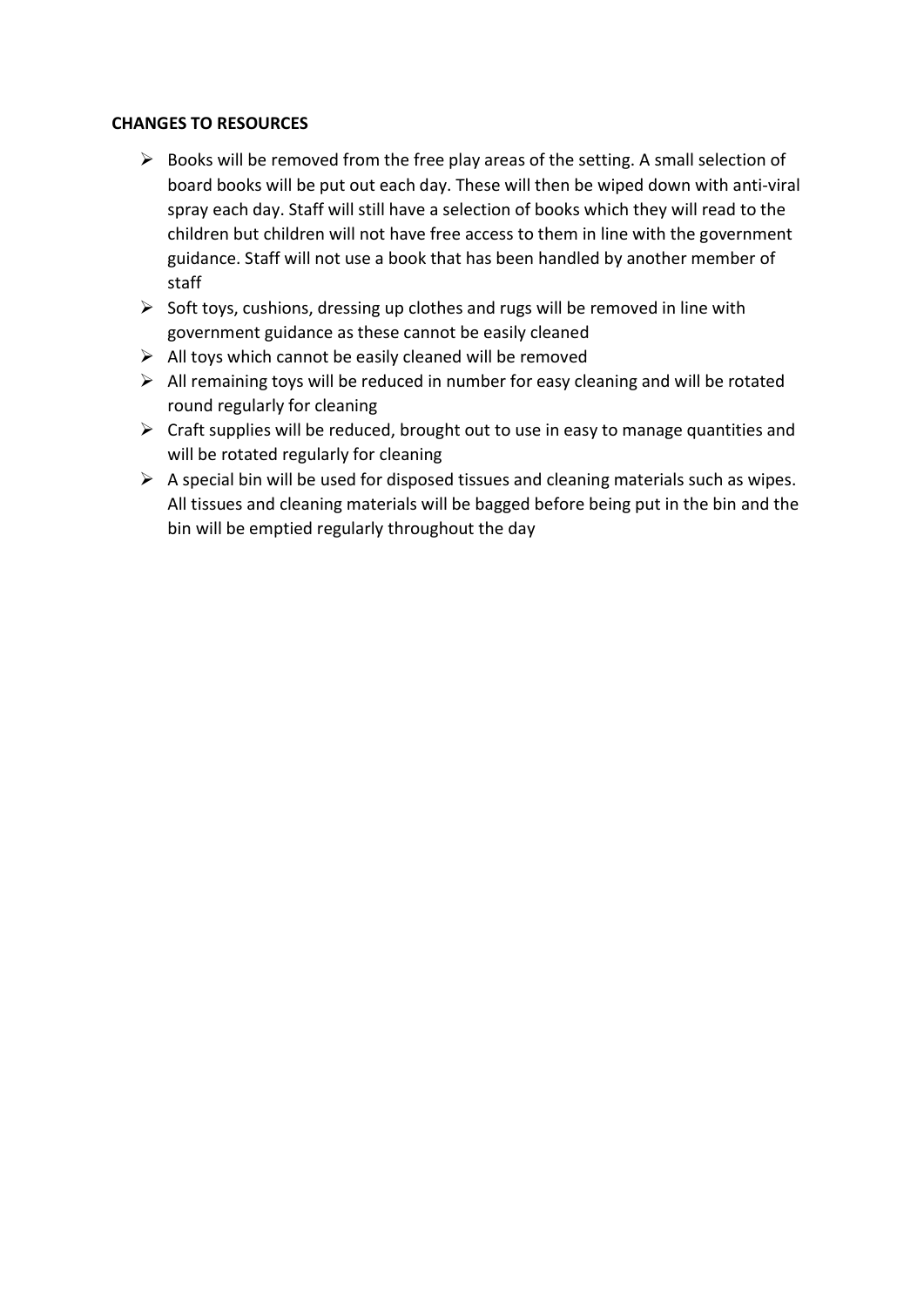### CHANGES TO RESOURCES

- $\triangleright$  Books will be removed from the free play areas of the setting. A small selection of board books will be put out each day. These will then be wiped down with anti-viral spray each day. Staff will still have a selection of books which they will read to the children but children will not have free access to them in line with the government guidance. Staff will not use a book that has been handled by another member of staff
- $\triangleright$  Soft toys, cushions, dressing up clothes and rugs will be removed in line with government guidance as these cannot be easily cleaned
- $\triangleright$  All toys which cannot be easily cleaned will be removed
- $\triangleright$  All remaining toys will be reduced in number for easy cleaning and will be rotated round regularly for cleaning
- $\triangleright$  Craft supplies will be reduced, brought out to use in easy to manage quantities and will be rotated regularly for cleaning
- $\triangleright$  A special bin will be used for disposed tissues and cleaning materials such as wipes. All tissues and cleaning materials will be bagged before being put in the bin and the bin will be emptied regularly throughout the day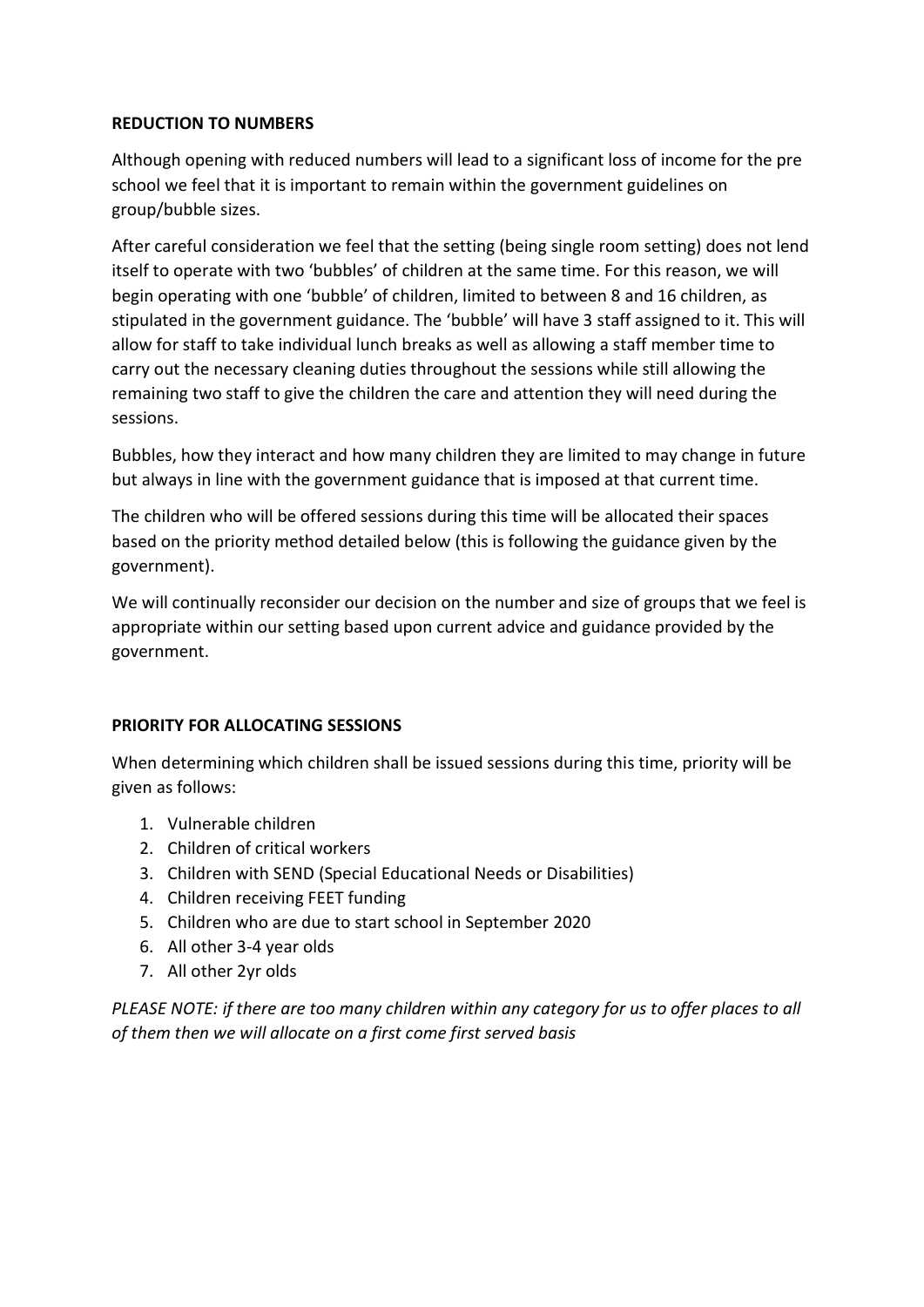### REDUCTION TO NUMBERS

Although opening with reduced numbers will lead to a significant loss of income for the pre school we feel that it is important to remain within the government guidelines on group/bubble sizes.

After careful consideration we feel that the setting (being single room setting) does not lend itself to operate with two 'bubbles' of children at the same time. For this reason, we will begin operating with one 'bubble' of children, limited to between 8 and 16 children, as stipulated in the government guidance. The 'bubble' will have 3 staff assigned to it. This will allow for staff to take individual lunch breaks as well as allowing a staff member time to carry out the necessary cleaning duties throughout the sessions while still allowing the remaining two staff to give the children the care and attention they will need during the sessions.

Bubbles, how they interact and how many children they are limited to may change in future but always in line with the government guidance that is imposed at that current time.

The children who will be offered sessions during this time will be allocated their spaces based on the priority method detailed below (this is following the guidance given by the government).

We will continually reconsider our decision on the number and size of groups that we feel is appropriate within our setting based upon current advice and guidance provided by the government.

### PRIORITY FOR ALLOCATING SESSIONS

When determining which children shall be issued sessions during this time, priority will be given as follows:

- 1. Vulnerable children
- 2. Children of critical workers
- 3. Children with SEND (Special Educational Needs or Disabilities)
- 4. Children receiving FEET funding
- 5. Children who are due to start school in September 2020
- 6. All other 3-4 year olds
- 7. All other 2yr olds

PLEASE NOTE: if there are too many children within any category for us to offer places to all of them then we will allocate on a first come first served basis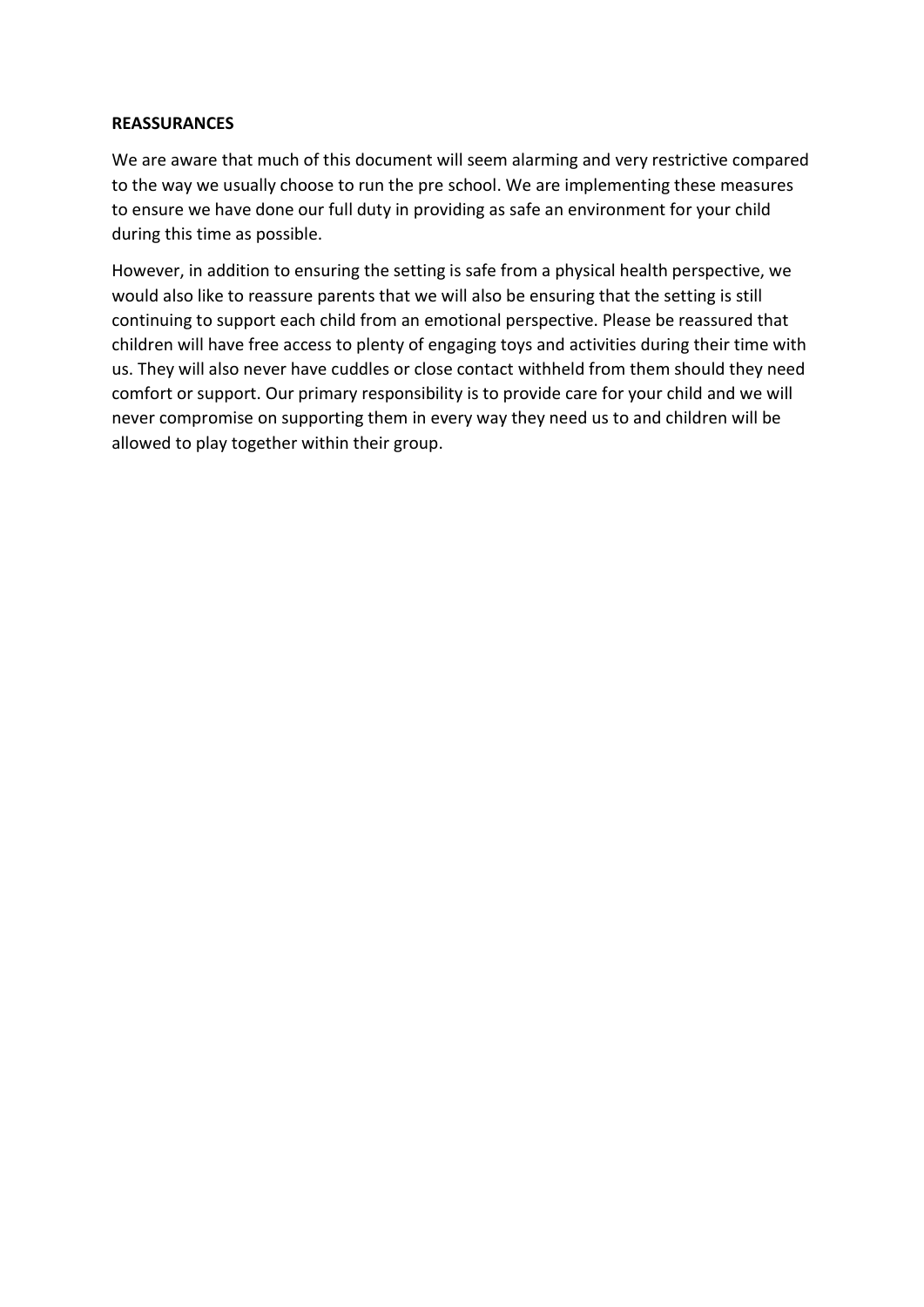#### **REASSURANCES**

We are aware that much of this document will seem alarming and very restrictive compared to the way we usually choose to run the pre school. We are implementing these measures to ensure we have done our full duty in providing as safe an environment for your child during this time as possible.

However, in addition to ensuring the setting is safe from a physical health perspective, we would also like to reassure parents that we will also be ensuring that the setting is still continuing to support each child from an emotional perspective. Please be reassured that children will have free access to plenty of engaging toys and activities during their time with us. They will also never have cuddles or close contact withheld from them should they need comfort or support. Our primary responsibility is to provide care for your child and we will never compromise on supporting them in every way they need us to and children will be allowed to play together within their group.